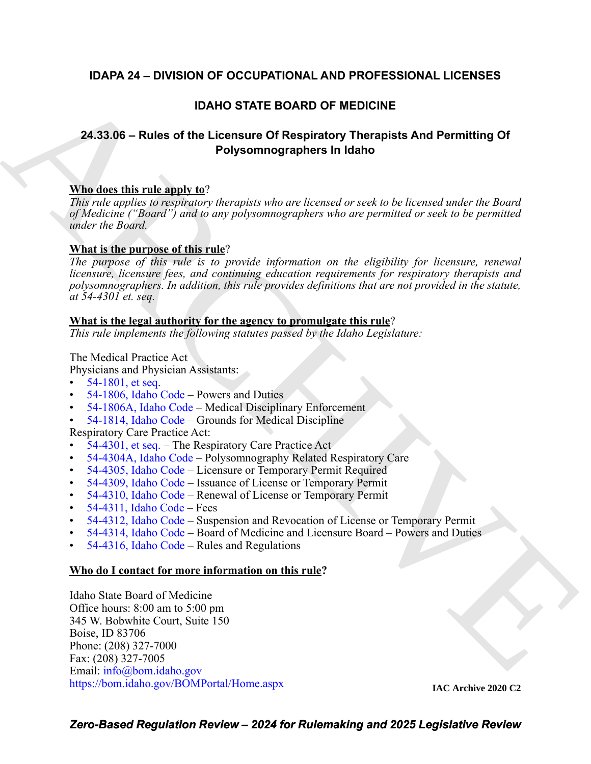## **IDAPA 24 – DIVISION OF OCCUPATIONAL AND PROFESSIONAL LICENSES**

## **IDAHO STATE BOARD OF MEDICINE**

# **24.33.06 – Rules of the Licensure Of Respiratory Therapists And Permitting Of Polysomnographers In Idaho**

#### **Who does this rule apply to**?

*This rule applies to respiratory therapists who are licensed or seek to be licensed under the Board of Medicine ("Board") and to any polysomnographers who are permitted or seek to be permitted under the Board.*

#### **What is the purpose of this rule**?

**IDAHO STATE BOARD OF MEDI[C](https://legislature.idaho.gov/statutesrules/idstat/Title54/T54CH18/SECT54-1806/)IN[E](mailto:info@bom.idaho.gov)**<br> **24.33.06 – Rules of the Licensure Of Respiratory Therapists And Permitting Of**<br> **Polysommographers in Idaho**<br> **Mindicer this rule and registrator** *hereafis who are licensed or seek to be The purpose of this rule is to provide information on the eligibility for licensure, renewal licensure, licensure fees, and continuing education requirements for respiratory therapists and polysomnographers. In addition, this rule provides definitions that are not provided in the statute, at 54-4301 et. seq.*

#### **What is the legal authority for the agency to promulgate this rule**?

*This rule implements the following statutes passed by the Idaho Legislature:*

The Medical Practice Act

Physicians and Physician Assistants:

- 54-1801, et seq.
- 54-1806, Idaho Code Powers and Duties
- 54-1806A, Idaho Code Medical Disciplinary Enforcement
- 54-1814, Idaho Code Grounds for Medical Discipline

Respiratory Care Practice Act:

- 54-4301, et seq. The Respiratory Care Practice Act
- 54-4304A, Idaho Code Polysomnography Related Respiratory Care
- 54-4305, Idaho Code Licensure or Temporary Permit Required
- 54-4309, Idaho Code Issuance of License or Temporary Permit
- 54-4310, Idaho Code Renewal of License or Temporary Permit
- 54-4311, Idaho Code Fees
- 54-4312, Idaho Code Suspension and Revocation of License or Temporary Permit
- 54-4314, Idaho Code Board of Medicine and Licensure Board Powers and Duties
- 54-4316, Idaho Code Rules and Regulations

#### **Who do I contact for more information on this rule?**

Idaho State Board of Medicine Office hours: 8:00 am to 5:00 pm 345 W. Bobwhite Court, Suite 150 Boise, ID 83706 Phone: (208) 327-7000 Fax: (208) 327-7005 Email: info@bom.idaho.gov <https://bom.idaho.gov/BOMPortal/Home.aspx>

**IAC Archive 2020 C2**

*Zero-Based Regulation Review – 2024 for Rulemaking and 2025 Legislative Review*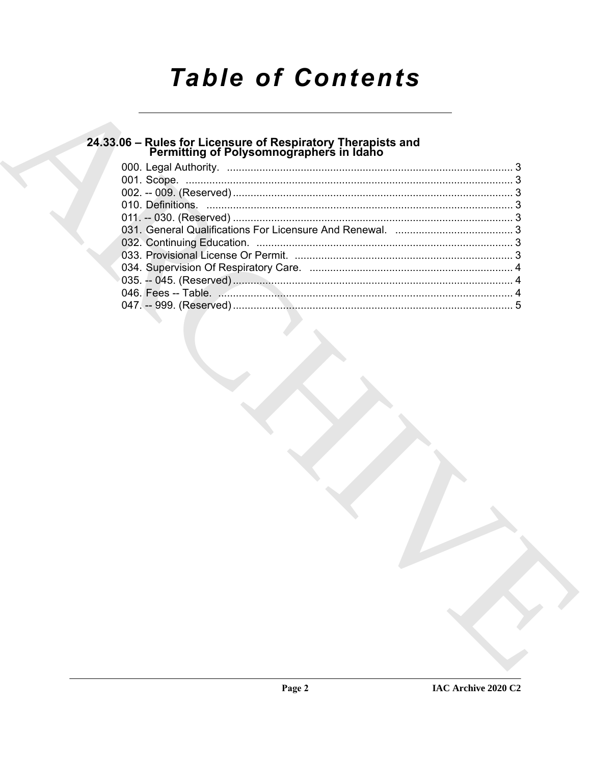# **Table of Contents**

# 24.33.06 – Rules for Licensure of Respiratory Therapists and<br>Permitting of Polysomnographers in Idaho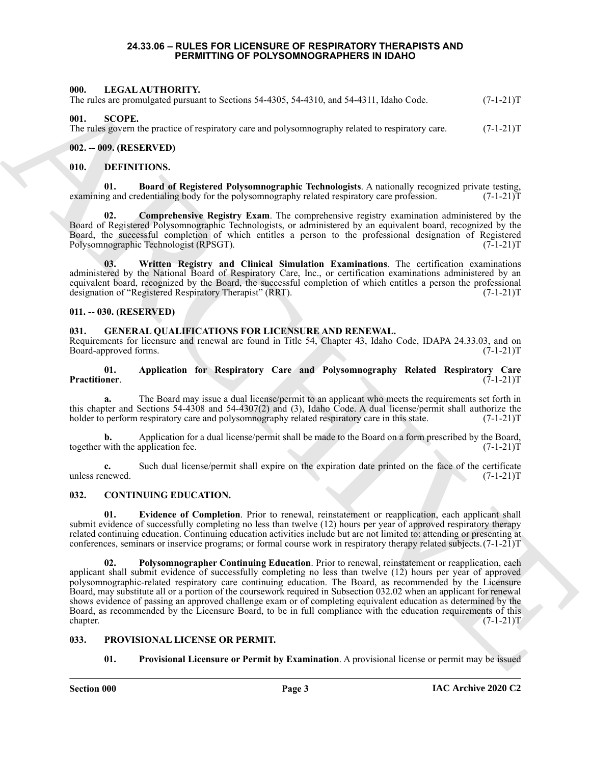#### **24.33.06 – RULES FOR LICENSURE OF RESPIRATORY THERAPISTS AND PERMITTING OF POLYSOMNOGRAPHERS IN IDAHO**

#### <span id="page-2-18"></span><span id="page-2-1"></span><span id="page-2-0"></span>**000. LEGAL AUTHORITY.**

The rules are promulgated pursuant to Sections 54-4305, 54-4310, and 54-4311, Idaho Code.  $(7-1-21)$ T

#### <span id="page-2-21"></span><span id="page-2-2"></span>**001. SCOPE.**

The rules govern the practice of respiratory care and polysomnography related to respiratory care. (7-1-21)T

#### <span id="page-2-3"></span>**002. -- 009. (RESERVED)**

#### <span id="page-2-12"></span><span id="page-2-4"></span>**010. DEFINITIONS.**

<span id="page-2-13"></span>**01. Board of Registered Polysomnographic Technologists**. A nationally recognized private testing, ng and credentialing body for the polysomnography related respiratory care profession. (7-1-21) examining and credentialing body for the polysomnography related respiratory care profession.

<span id="page-2-14"></span>**02. Comprehensive Registry Exam**. The comprehensive registry examination administered by the Board of Registered Polysomnographic Technologists, or administered by an equivalent board, recognized by the Board, the successful completion of which entitles a person to the professional designation of Registered Polysomnographic Technologist (RPSGT). (7-1-21) Polysomnographic Technologist (RPSGT).

<span id="page-2-15"></span>**03. Written Registry and Clinical Simulation Examinations**. The certification examinations administered by the National Board of Respiratory Care, Inc., or certification examinations administered by an equivalent board, recognized by the Board, the successful completion of which entitles a person the professional designation of "Registered Respiratory Therapist" (RRT). (7-1-21)T

#### <span id="page-2-5"></span>**011. -- 030. (RESERVED)**

#### <span id="page-2-16"></span><span id="page-2-6"></span>**031. GENERAL QUALIFICATIONS FOR LICENSURE AND RENEWAL.**

Requirements for licensure and renewal are found in Title 54, Chapter 43, Idaho Code, IDAPA 24.33.03, and on Board-approved forms. (7-1-21)T

#### <span id="page-2-17"></span>**01. Application for Respiratory Care and Polysomnography Related Respiratory Care Practitioner**. (7-1-21)T

**a.** The Board may issue a dual license/permit to an applicant who meets the requirements set forth in this chapter and Sections 54-4308 and 54-4307(2) and (3), Idaho Code. A dual license/permit shall authorize the holder to perform respiratory care and polysomnography related respiratory care in this state.  $(7-1-21)$ T holder to perform respiratory care and polysomnography related respiratory care in this state.

Application for a dual license/permit shall be made to the Board on a form prescribed by the Board, application fee.  $(7-1-21)T$ together with the application fee.

**c.** Such dual license/permit shall expire on the expiration date printed on the face of the certificate newed.  $(7-1-21)T$ unless renewed.

#### <span id="page-2-9"></span><span id="page-2-7"></span>**032. CONTINUING EDUCATION.**

<span id="page-2-11"></span><span id="page-2-10"></span>**01. Evidence of Completion**. Prior to renewal, reinstatement or reapplication, each applicant shall submit evidence of successfully completing no less than twelve (12) hours per year of approved respiratory therapy related continuing education. Continuing education activities include but are not limited to: attending or presenting at conferences, seminars or inservice programs; or formal course work in respiratory therapy related subjects.(7-1-21)T

601. IDENTIFICATION FITCH EXECUTIVE SACTOS, 54.4310, ext 54.4311, and 54.4311, and 64.631. (2.1.21) T<br>
The risk operation and the second of the property and a 54 percentage of the second second or the second or the secon **02. Polysomnographer Continuing Education**. Prior to renewal, reinstatement or reapplication, each applicant shall submit evidence of successfully completing no less than twelve (12) hours per year of approved polysomnographic-related respiratory care continuing education. The Board, as recommended by the Licensure Board, may substitute all or a portion of the coursework required in Subsection 032.02 when an applicant for renewal shows evidence of passing an approved challenge exam or of completing equivalent education as determined by the Board, as recommended by the Licensure Board, to be in full compliance with the education requirements of this chapter. (7-1-21)T

#### <span id="page-2-8"></span>**033. PROVISIONAL LICENSE OR PERMIT.**

#### <span id="page-2-20"></span><span id="page-2-19"></span>**01. Provisional Licensure or Permit by Examination**. A provisional license or permit may be issued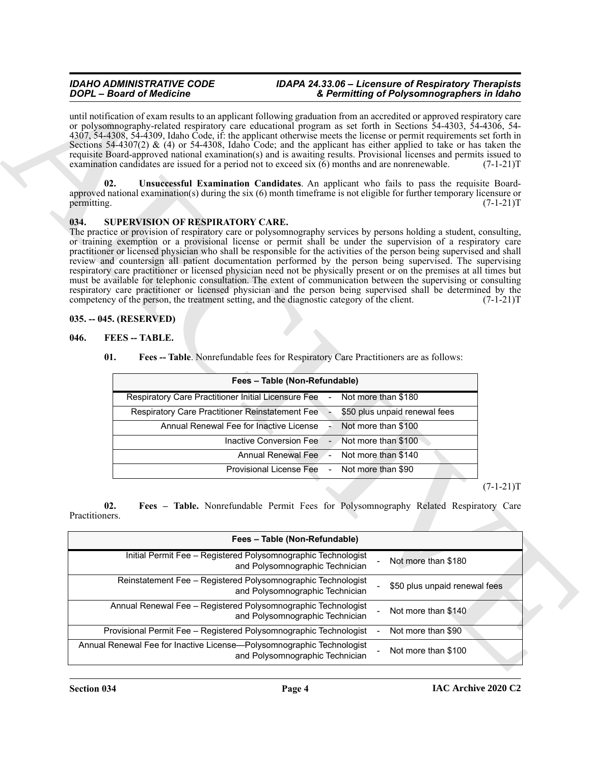#### *IDAHO ADMINISTRATIVE CODE IDAPA 24.33.06 – Licensure of Respiratory Therapists DOPL – Board of Medicine & Permitting of Polysomnographers in Idaho*

#### <span id="page-3-7"></span><span id="page-3-6"></span><span id="page-3-0"></span>**034. SUPERVISION OF RESPIRATORY CARE.**

#### <span id="page-3-1"></span>**035. -- 045. (RESERVED)**

#### <span id="page-3-3"></span><span id="page-3-2"></span>**046. FEES -- TABLE.**

<span id="page-3-5"></span><span id="page-3-4"></span>

| Fees - Table (Non-Refundable)                          |                          |                               |
|--------------------------------------------------------|--------------------------|-------------------------------|
| Respiratory Care Practitioner Initial Licensure Fee    | $\sim 100$               | Not more than \$180           |
| <b>Respiratory Care Practitioner Reinstatement Fee</b> |                          | \$50 plus unpaid renewal fees |
| Annual Renewal Fee for Inactive License                | $\overline{\phantom{a}}$ | Not more than \$100           |
| Inactive Conversion Fee -                              |                          | Not more than \$100           |
| Annual Renewal Fee                                     |                          | Not more than \$140           |
| Provisional License Fee - Not more than \$90           |                          |                               |

|                       | <b>DOPL</b> - Board of Medicine                                   | & Permitting of Polysomnographers in Idaho                                                                                                                                                                                                                                                                                                                                                                                                                                                                                                                                                                                                                                                                                                                                                                                                                                                                                                   |             |
|-----------------------|-------------------------------------------------------------------|----------------------------------------------------------------------------------------------------------------------------------------------------------------------------------------------------------------------------------------------------------------------------------------------------------------------------------------------------------------------------------------------------------------------------------------------------------------------------------------------------------------------------------------------------------------------------------------------------------------------------------------------------------------------------------------------------------------------------------------------------------------------------------------------------------------------------------------------------------------------------------------------------------------------------------------------|-------------|
|                       |                                                                   | until notification of exam results to an applicant following graduation from an accredited or approved respiratory care<br>or polysomnography-related respiratory care educational program as set forth in Sections 54-4303, 54-4306, 54-<br>4307, 54-4308, 54-4309, Idaho Code, if: the applicant otherwise meets the license or permit requirements set forth in<br>Sections 54-4307(2) & (4) or 54-4308, Idaho Code; and the applicant has either applied to take or has taken the<br>requisite Board-approved national examination(s) and is awaiting results. Provisional licenses and permits issued to<br>examination candidates are issued for a period not to exceed $s$ ix $(6)$ months and are nonrenewable.                                                                                                                                                                                                                      | $(7-1-21)T$ |
| 02.<br>permitting.    |                                                                   | Unsuccessful Examination Candidates. An applicant who fails to pass the requisite Board-<br>approved national examination(s) during the six (6) month timeframe is not eligible for further temporary licensure or                                                                                                                                                                                                                                                                                                                                                                                                                                                                                                                                                                                                                                                                                                                           | $(7-1-21)T$ |
| 034.                  | SUPERVISION OF RESPIRATORY CARE.                                  | The practice or provision of respiratory care or polysomnography services by persons holding a student, consulting,<br>or training exemption or a provisional license or permit shall be under the supervision of a respiratory care<br>practitioner or licensed physician who shall be responsible for the activities of the person being supervised and shall<br>review and countersign all patient documentation performed by the person being supervised. The supervising<br>respiratory care practitioner or licensed physician need not be physically present or on the premises at all times but<br>must be available for telephonic consultation. The extent of communication between the supervising or consulting<br>respiratory care practitioner or licensed physician and the person being supervised shall be determined by the<br>competency of the person, the treatment setting, and the diagnostic category of the client. | $(7-1-21)T$ |
|                       | 035. -- 045. (RESERVED)                                           |                                                                                                                                                                                                                                                                                                                                                                                                                                                                                                                                                                                                                                                                                                                                                                                                                                                                                                                                              |             |
| 046.                  | <b>FEES</b> -- TABLE.                                             |                                                                                                                                                                                                                                                                                                                                                                                                                                                                                                                                                                                                                                                                                                                                                                                                                                                                                                                                              |             |
|                       | 01.                                                               | Fees -- Table. Nonrefundable fees for Respiratory Care Practitioners are as follows:                                                                                                                                                                                                                                                                                                                                                                                                                                                                                                                                                                                                                                                                                                                                                                                                                                                         |             |
|                       |                                                                   |                                                                                                                                                                                                                                                                                                                                                                                                                                                                                                                                                                                                                                                                                                                                                                                                                                                                                                                                              |             |
|                       |                                                                   | Fees - Table (Non-Refundable)                                                                                                                                                                                                                                                                                                                                                                                                                                                                                                                                                                                                                                                                                                                                                                                                                                                                                                                |             |
|                       | Respiratory Care Practitioner Initial Licensure Fee               | Not more than \$180                                                                                                                                                                                                                                                                                                                                                                                                                                                                                                                                                                                                                                                                                                                                                                                                                                                                                                                          |             |
|                       | <b>Respiratory Care Practitioner Reinstatement Fee</b>            | \$50 plus unpaid renewal fees                                                                                                                                                                                                                                                                                                                                                                                                                                                                                                                                                                                                                                                                                                                                                                                                                                                                                                                |             |
|                       | Annual Renewal Fee for Inactive License                           | Not more than \$100                                                                                                                                                                                                                                                                                                                                                                                                                                                                                                                                                                                                                                                                                                                                                                                                                                                                                                                          |             |
|                       |                                                                   |                                                                                                                                                                                                                                                                                                                                                                                                                                                                                                                                                                                                                                                                                                                                                                                                                                                                                                                                              |             |
|                       |                                                                   | Inactive Conversion Fee<br>Not more than \$100                                                                                                                                                                                                                                                                                                                                                                                                                                                                                                                                                                                                                                                                                                                                                                                                                                                                                               |             |
|                       |                                                                   | Not more than \$140<br><b>Annual Renewal Fee</b>                                                                                                                                                                                                                                                                                                                                                                                                                                                                                                                                                                                                                                                                                                                                                                                                                                                                                             |             |
|                       |                                                                   | <b>Provisional License Fee</b><br>Not more than \$90                                                                                                                                                                                                                                                                                                                                                                                                                                                                                                                                                                                                                                                                                                                                                                                                                                                                                         |             |
|                       |                                                                   |                                                                                                                                                                                                                                                                                                                                                                                                                                                                                                                                                                                                                                                                                                                                                                                                                                                                                                                                              |             |
| 02.<br>Practitioners. |                                                                   | Fees - Table. Nonrefundable Permit Fees for Polysomnography Related Respiratory Care                                                                                                                                                                                                                                                                                                                                                                                                                                                                                                                                                                                                                                                                                                                                                                                                                                                         | $(7-1-21)T$ |
|                       |                                                                   | Fees - Table (Non-Refundable)                                                                                                                                                                                                                                                                                                                                                                                                                                                                                                                                                                                                                                                                                                                                                                                                                                                                                                                |             |
|                       | Initial Permit Fee - Registered Polysomnographic Technologist     | Not more than \$180<br>and Polysomnographic Technician                                                                                                                                                                                                                                                                                                                                                                                                                                                                                                                                                                                                                                                                                                                                                                                                                                                                                       |             |
|                       | Reinstatement Fee - Registered Polysomnographic Technologist      | \$50 plus unpaid renewal fees<br>and Polysomnographic Technician                                                                                                                                                                                                                                                                                                                                                                                                                                                                                                                                                                                                                                                                                                                                                                                                                                                                             |             |
|                       | Annual Renewal Fee - Registered Polysomnographic Technologist     | Not more than \$140<br>and Polysomnographic Technician                                                                                                                                                                                                                                                                                                                                                                                                                                                                                                                                                                                                                                                                                                                                                                                                                                                                                       |             |
|                       | Provisional Permit Fee - Registered Polysomnographic Technologist | Not more than \$90                                                                                                                                                                                                                                                                                                                                                                                                                                                                                                                                                                                                                                                                                                                                                                                                                                                                                                                           |             |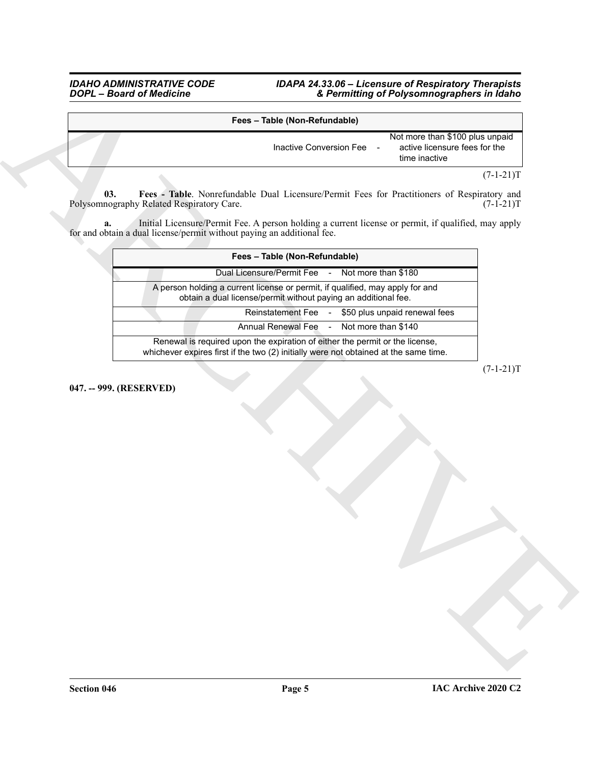#### *IDAHO ADMINISTRATIVE CODE IDAPA 24.33.06 – Licensure of Respiratory Therapists DOPL – Board of Medicine & Permitting of Polysomnographers in Idaho*

<span id="page-4-1"></span><span id="page-4-0"></span>

| Fees - Table (Non-Refundable) |                                                                                                     |
|-------------------------------|-----------------------------------------------------------------------------------------------------|
| Inactive Conversion Fee       | Not more than \$100 plus unpaid<br>active licensure fees for the<br>$\blacksquare$<br>time inactive |
|                               | $(7-1-21)T$                                                                                         |

|     | Fees - Table (Non-Refundable)                                                                                                                                                 |             |
|-----|-------------------------------------------------------------------------------------------------------------------------------------------------------------------------------|-------------|
|     | Not more than \$100 plus unpaid<br>active licensure fees for the<br>Inactive Conversion Fee<br>$\overline{\phantom{a}}$<br>time inactive                                      |             |
|     |                                                                                                                                                                               | $(7-1-21)T$ |
| 03. | Fees - Table. Nonrefundable Dual Licensure/Permit Fees for Practitioners of Respiratory and<br>Polysomnography Related Respiratory Care.                                      | $(7-1-21)T$ |
| a.  | Initial Licensure/Permit Fee. A person holding a current license or permit, if qualified, may apply<br>for and obtain a dual license/permit without paying an additional fee. |             |
|     | Fees - Table (Non-Refundable)                                                                                                                                                 |             |
|     | Dual Licensure/Permit Fee - Not more than \$180                                                                                                                               |             |
|     | A person holding a current license or permit, if qualified, may apply for and<br>obtain a dual license/permit without paying an additional fee.                               |             |
|     | Reinstatement Fee - \$50 plus unpaid renewal fees                                                                                                                             |             |
|     | Annual Renewal Fee<br>Not more than \$140<br>$\sim$ $-$                                                                                                                       |             |
|     | Renewal is required upon the expiration of either the permit or the license,<br>whichever expires first if the two (2) initially were not obtained at the same time.          |             |
|     |                                                                                                                                                                               |             |
|     |                                                                                                                                                                               |             |